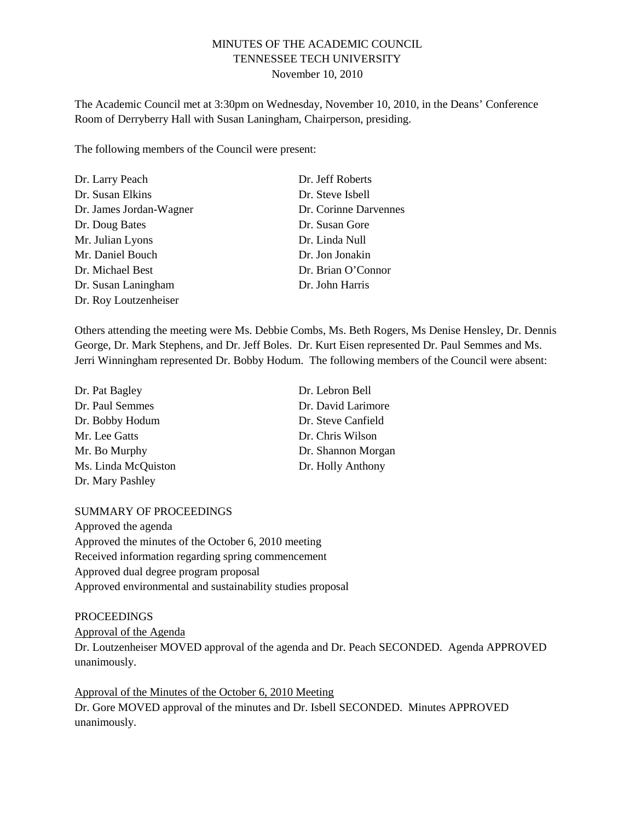# MINUTES OF THE ACADEMIC COUNCIL TENNESSEE TECH UNIVERSITY November 10, 2010

The Academic Council met at 3:30pm on Wednesday, November 10, 2010, in the Deans' Conference Room of Derryberry Hall with Susan Laningham, Chairperson, presiding.

The following members of the Council were present:

| Dr. Larry Peach         | Dr. Jeff Roberts      |
|-------------------------|-----------------------|
| Dr. Susan Elkins        | Dr. Steve Isbell      |
| Dr. James Jordan-Wagner | Dr. Corinne Darvennes |
| Dr. Doug Bates          | Dr. Susan Gore        |
| Mr. Julian Lyons        | Dr. Linda Null        |
| Mr. Daniel Bouch        | Dr. Jon Jonakin       |
| Dr. Michael Best        | Dr. Brian O'Connor    |
| Dr. Susan Laningham     | Dr. John Harris       |
| Dr. Roy Loutzenheiser   |                       |

Others attending the meeting were Ms. Debbie Combs, Ms. Beth Rogers, Ms Denise Hensley, Dr. Dennis George, Dr. Mark Stephens, and Dr. Jeff Boles. Dr. Kurt Eisen represented Dr. Paul Semmes and Ms. Jerri Winningham represented Dr. Bobby Hodum. The following members of the Council were absent:

| Dr. Pat Bagley      | Dr. Lebron Bell    |
|---------------------|--------------------|
| Dr. Paul Semmes     | Dr. David Larimore |
| Dr. Bobby Hodum     | Dr. Steve Canfield |
| Mr. Lee Gatts       | Dr. Chris Wilson   |
| Mr. Bo Murphy       | Dr. Shannon Morgan |
| Ms. Linda McQuiston | Dr. Holly Anthony  |
| Dr. Mary Pashley    |                    |

#### SUMMARY OF PROCEEDINGS

Approved the agenda Approved the minutes of the October 6, 2010 meeting Received information regarding spring commencement Approved dual degree program proposal Approved environmental and sustainability studies proposal

### **PROCEEDINGS**

Approval of the Agenda

Dr. Loutzenheiser MOVED approval of the agenda and Dr. Peach SECONDED. Agenda APPROVED unanimously.

Approval of the Minutes of the October 6, 2010 Meeting Dr. Gore MOVED approval of the minutes and Dr. Isbell SECONDED. Minutes APPROVED unanimously.